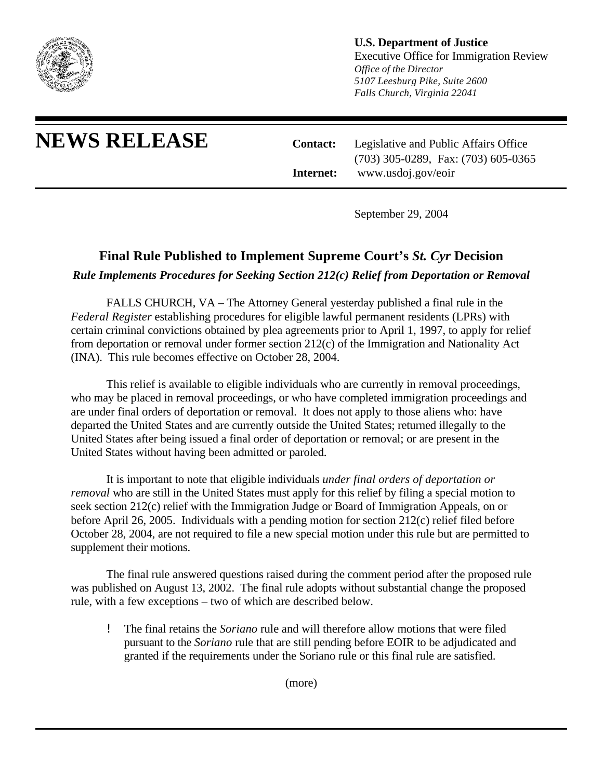

## **U.S. Department of Justice**

Executive Office for Immigration Review *Office of the Director 5107 Leesburg Pike, Suite 2600 Falls Church, Virginia 22041*

**NEWS RELEASE Contact:** Legislative and Public Affairs Office (703) 305-0289, Fax: (703) 605-0365 **Internet:** www.usdoj.gov/eoir

September 29, 2004

## **Final Rule Published to Implement Supreme Court's** *St. Cyr* **Decision**

*Rule Implements Procedures for Seeking Section 212(c) Relief from Deportation or Removal*

FALLS CHURCH, VA – The Attorney General yesterday published a final rule in the *Federal Register* establishing procedures for eligible lawful permanent residents (LPRs) with certain criminal convictions obtained by plea agreements prior to April 1, 1997, to apply for relief from deportation or removal under former section 212(c) of the Immigration and Nationality Act (INA). This rule becomes effective on October 28, 2004.

This relief is available to eligible individuals who are currently in removal proceedings, who may be placed in removal proceedings, or who have completed immigration proceedings and are under final orders of deportation or removal. It does not apply to those aliens who: have departed the United States and are currently outside the United States; returned illegally to the United States after being issued a final order of deportation or removal; or are present in the United States without having been admitted or paroled.

It is important to note that eligible individuals *under final orders of deportation or removal* who are still in the United States must apply for this relief by filing a special motion to seek section 212(c) relief with the Immigration Judge or Board of Immigration Appeals, on or before April 26, 2005. Individuals with a pending motion for section 212(c) relief filed before October 28, 2004, are not required to file a new special motion under this rule but are permitted to supplement their motions.

The final rule answered questions raised during the comment period after the proposed rule was published on August 13, 2002. The final rule adopts without substantial change the proposed rule, with a few exceptions – two of which are described below.

! The final retains the *Soriano* rule and will therefore allow motions that were filed pursuant to the *Soriano* rule that are still pending before EOIR to be adjudicated and granted if the requirements under the Soriano rule or this final rule are satisfied.

(more)